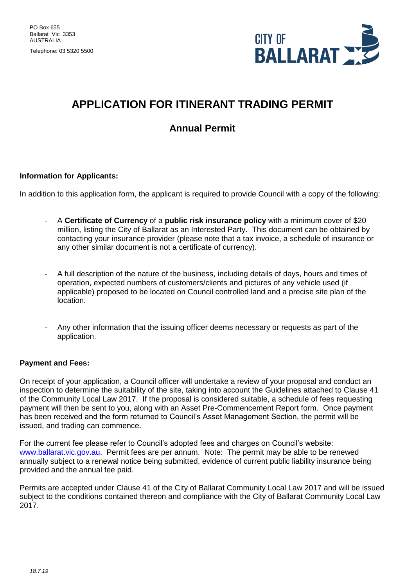Telephone: 03 5320 5500



## **APPLICATION FOR ITINERANT TRADING PERMIT**

### **Annual Permit**

#### **Information for Applicants:**

In addition to this application form, the applicant is required to provide Council with a copy of the following:

- A **Certificate of Currency** of a **public risk insurance policy** with a minimum cover of \$20 million, listing the City of Ballarat as an Interested Party. This document can be obtained by contacting your insurance provider (please note that a tax invoice, a schedule of insurance or any other similar document is not a certificate of currency).
- A full description of the nature of the business, including details of days, hours and times of operation, expected numbers of customers/clients and pictures of any vehicle used (if applicable) proposed to be located on Council controlled land and a precise site plan of the location.
- Any other information that the issuing officer deems necessary or requests as part of the application.

#### **Payment and Fees:**

On receipt of your application, a Council officer will undertake a review of your proposal and conduct an inspection to determine the suitability of the site, taking into account the Guidelines attached to Clause 41 of the Community Local Law 2017. If the proposal is considered suitable, a schedule of fees requesting payment will then be sent to you, along with an Asset Pre-Commencement Report form. Once payment has been received and the form returned to Council's Asset Management Section, the permit will be issued, and trading can commence.

For the current fee please refer to Council's adopted fees and charges on Council's website: [www.ballarat.vic.gov.au.](http://www.ballarat.vic.gov.au/) Permit fees are per annum. Note: The permit may be able to be renewed annually subject to a renewal notice being submitted, evidence of current public liability insurance being provided and the annual fee paid.

Permits are accepted under Clause 41 of the City of Ballarat Community Local Law 2017 and will be issued subject to the conditions contained thereon and compliance with the City of Ballarat Community Local Law 2017.